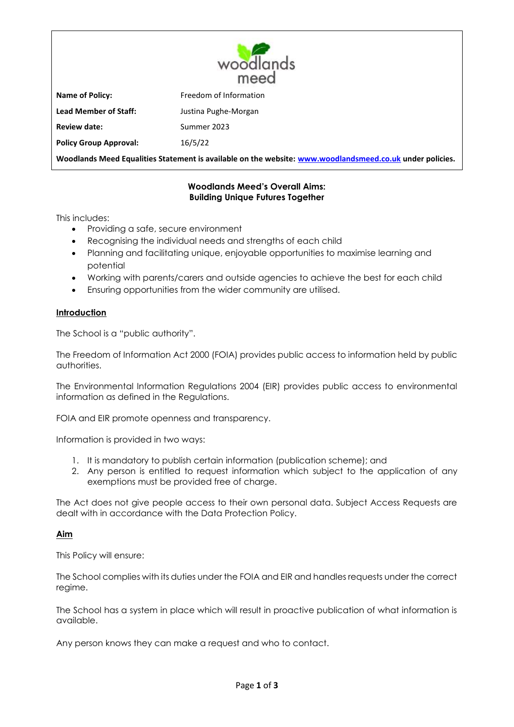

**Name of Policy: Freedom of Information Lead Member of Staff:** Justina Pughe-Morgan **Review date:** Summer 2023 **Policy Group Approval:** 16/5/22

**Woodlands Meed Equalities Statement is available on the website: [www.woodlandsmeed.co.uk](http://www.woodlandsmeed.co.uk/) under policies.**

# **Woodlands Meed's Overall Aims: Building Unique Futures Together**

This includes:

- Providing a safe, secure environment
- Recognising the individual needs and strengths of each child
- Planning and facilitating unique, enjoyable opportunities to maximise learning and potential
- Working with parents/carers and outside agencies to achieve the best for each child
- Ensuring opportunities from the wider community are utilised.

## **Introduction**

The School is a "public authority".

The Freedom of Information Act 2000 (FOIA) provides public access to information held by public authorities.

The Environmental Information Regulations 2004 (EIR) provides public access to environmental information as defined in the Regulations.

FOIA and EIR promote openness and transparency.

Information is provided in two ways:

- 1. It is mandatory to publish certain information (publication scheme); and
- 2. Any person is entitled to request information which subject to the application of any exemptions must be provided free of charge.

The Act does not give people access to their own personal data. Subject Access Requests are dealt with in accordance with the Data Protection Policy.

## **Aim**

This Policy will ensure:

The School complies with its duties under the FOIA and EIR and handles requests under the correct regime.

The School has a system in place which will result in proactive publication of what information is available.

Any person knows they can make a request and who to contact.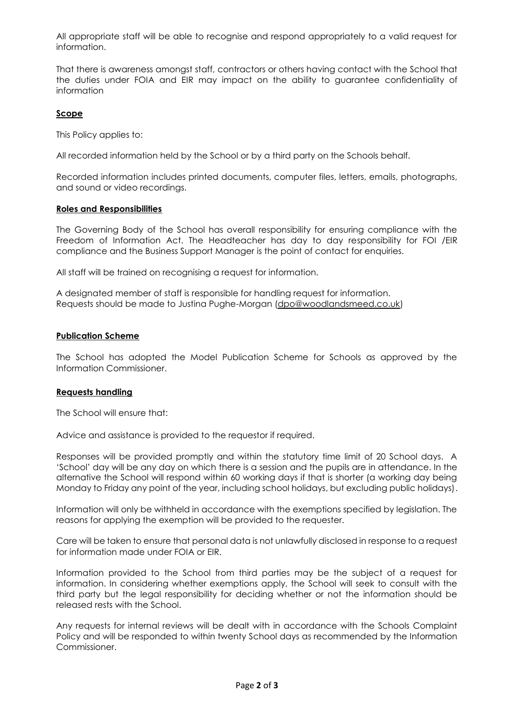All appropriate staff will be able to recognise and respond appropriately to a valid request for information.

That there is awareness amongst staff, contractors or others having contact with the School that the duties under FOIA and EIR may impact on the ability to guarantee confidentiality of information

## **Scope**

This Policy applies to:

All recorded information held by the School or by a third party on the Schools behalf.

Recorded information includes printed documents, computer files, letters, emails, photographs, and sound or video recordings.

#### **Roles and Responsibilities**

The Governing Body of the School has overall responsibility for ensuring compliance with the Freedom of Information Act. The Headteacher has day to day responsibility for FOI /EIR compliance and the Business Support Manager is the point of contact for enquiries.

All staff will be trained on recognising a request for information.

A designated member of staff is responsible for handling request for information. Requests should be made to Justina Pughe-Morgan [\(dpo@woodlandsmeed.co.uk\)](mailto:dpo@woodlandsmeed.co.uk)

## **Publication Scheme**

The School has adopted the Model Publication Scheme for Schools as approved by the Information Commissioner.

## **Requests handling**

The School will ensure that:

Advice and assistance is provided to the requestor if required.

Responses will be provided promptly and within the statutory time limit of 20 School days. A 'School' day will be any day on which there is a session and the pupils are in attendance. In the alternative the School will respond within 60 working days if that is shorter (a working day being Monday to Friday any point of the year, including school holidays, but excluding public holidays).

Information will only be withheld in accordance with the exemptions specified by legislation. The reasons for applying the exemption will be provided to the requester.

Care will be taken to ensure that personal data is not unlawfully disclosed in response to a request for information made under FOIA or EIR.

Information provided to the School from third parties may be the subject of a request for information. In considering whether exemptions apply, the School will seek to consult with the third party but the legal responsibility for deciding whether or not the information should be released rests with the School.

Any requests for internal reviews will be dealt with in accordance with the Schools Complaint Policy and will be responded to within twenty School days as recommended by the Information Commissioner.